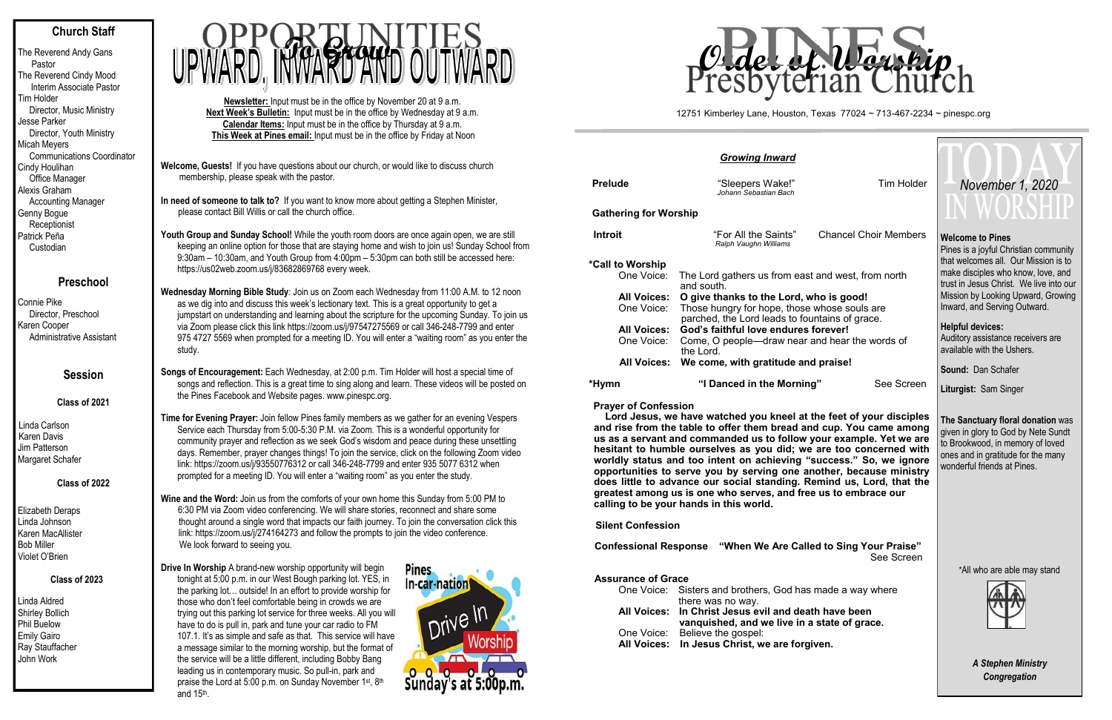# **Church Staff**

The Reverend Andy Gans Pastor The Reverend Cindy Mood Interim Associate Pastor Tim Holder Director, Music Ministry Jesse Parker Director, Youth Ministry Micah Meyers Communications Coordinator Cindy Houlihan Office Manager Alexis Graham Accounting Manager Genny Bogue **Receptionist** Patrick Peña Custodian

# **Preschool**

Connie Pike Director, Preschool Karen Cooper Administrative Assistant

# **Session**

**Class of 2021**

Linda Carlson Karen Davis Jim Patterson Margaret Schafer

# **Class of 2022**

Elizabeth Deraps Linda Johnson Karen MacAllister Bob Miller Violet O'Brien

# **Class of 2023**

Youth Group and Sunday School! While the youth room doors are once again open, we are still keeping an online option for those that are staying home and wish to join us! Sunday School from 9:30am – 10:30am, and Youth Group from 4:00pm – 5:30pm can both still be accessed here: https://us02web.zoom.us/j/83682869768 every week.

Linda Aldred Shirley Bollich Phil Buelow Emily Gairo Ray Stauffacher John Work

**Welcome, Guests!** If you have questions about our church, or would like to discuss church membership, please speak with the pastor.

**In need of someone to talk to?** If you want to know more about getting a Stephen Minister, please contact Bill Willis or call the church office.

**Wednesday Morning Bible Study**: Join us on Zoom each Wednesday from 11:00 A.M. to 12 noon as we dig into and discuss this week's lectionary text. This is a great opportunity to get a jumpstart on understanding and learning about the scripture for the upcoming Sunday. To join us via Zoom please click this link https://zoom.us/j/97547275569 or call 346-248-7799 and enter 975 4727 5569 when prompted for a meeting ID. You will enter a "waiting room" as you enter the study.

**Songs of Encouragement:** Each Wednesday, at 2:00 p.m. Tim Holder will host a special time of songs and reflection. This is a great time to sing along and learn. These videos will be posted on the Pines Facebook and Website pages. www.pinespc.org.

**Time for Evening Prayer:** Join fellow Pines family members as we gather for an evening Vespers Service each Thursday from 5:00-5:30 P.M. via Zoom. This is a wonderful opportunity for community prayer and reflection as we seek God's wisdom and peace during these unsettling days. Remember, prayer changes things! To join the service, click on the following Zoom video link: https://zoom.us/j/93550776312 or call 346-248-7799 and enter 935 5077 6312 when prompted for a meeting ID. You will enter a "waiting room" as you enter the study.

**Wine and the Word:** Join us from the comforts of your own home this Sunday from 5:00 PM to 6:30 PM via Zoom video conferencing. We will share stories, reconnect and share some thought around a single word that impacts our faith journey. To join the conversation click this link: https://zoom.us/j/274164273 and follow the prompts to join the video conference. We look forward to seeing you.

Pines is a joyful Christian community that welcomes all. Our Mission is to make disciples who know, love, and trust in Jesus Christ. We live into our Mission by Looking Upward, Growing Inward, and Serving Outward.

**Drive In Worship** A brand-new worship opportunity will begin tonight at 5:00 p.m. in our West Bough parking lot. YES, in the parking lot… outside! In an effort to provide worship for those who don't feel comfortable being in crowds we are trying out this parking lot service for three weeks. All you will have to do is pull in, park and tune your car radio to FM 107.1. It's as simple and safe as that. This service will have a message similar to the morning worship, but the format of the service will be a little different, including Bobby Bang leading us in contemporary music. So pull-in, park and praise the Lord at 5:00 p.m. on Sunday November 1st, 8th and 15th .



**Newsletter:** Input must be in the office by November 20 at 9 a.m. **Next Week's Bulletin:** Input must be in the office by Wednesday at 9 a.m. **Calendar Items:** Input must be in the office by Thursday at 9 a.m. **This Week at Pines email:** Input must be in the office by Friday at Noon



| <b>Growing Inward</b>        |                                                                                                |                              |  |  |  |  |  |  |  |
|------------------------------|------------------------------------------------------------------------------------------------|------------------------------|--|--|--|--|--|--|--|
| <b>Prelude</b>               | "Sleepers Wake!"<br>Johann Sebastian Bach                                                      | <b>Tim Holder</b>            |  |  |  |  |  |  |  |
| <b>Gathering for Worship</b> |                                                                                                |                              |  |  |  |  |  |  |  |
| Introit                      | "For All the Saints"<br>Ralph Vaughn Williams                                                  | <b>Chancel Choir Members</b> |  |  |  |  |  |  |  |
| *Call to Worship             |                                                                                                |                              |  |  |  |  |  |  |  |
| One Voice:                   | The Lord gathers us from east and west, from north<br>and south.                               |                              |  |  |  |  |  |  |  |
| <b>All Voices:</b>           | O give thanks to the Lord, who is good!                                                        |                              |  |  |  |  |  |  |  |
| One Voice:                   | Those hungry for hope, those whose souls are<br>parched, the Lord leads to fountains of grace. |                              |  |  |  |  |  |  |  |
| <b>All Voices:</b>           | God's faithful love endures forever!                                                           |                              |  |  |  |  |  |  |  |
| One Voice:                   | Come, O people—draw near and hear the words of<br>the Lord.                                    |                              |  |  |  |  |  |  |  |
|                              | All Voices: We come, with gratitude and praise!                                                |                              |  |  |  |  |  |  |  |
| *Hvmn                        | "I Danced in the Morning"                                                                      | See Screen                   |  |  |  |  |  |  |  |

**Prayer of Confession** 

 **Lord Jesus, we have watched you kneel at the feet of your disciples and rise from the table to offer them bread and cup. You came among us as a servant and commanded us to follow your example. Yet we are hesitant to humble ourselves as you did; we are too concerned with worldly status and too intent on achieving "success." So, we ignore opportunities to serve you by serving one another, because ministry does little to advance our social standing. Remind us, Lord, that the greatest among us is one who serves, and free us to embrace our calling to be your hands in this world.** 

 **Silent Confession**

 **Confessional Response "When We Are Called to Sing Your Praise"** See Screen

## **Assurance of Grace**

| All Voices: In Jesus Christ, we are forgiven.             |
|-----------------------------------------------------------|
| One Voice: Believe the gospel:                            |
| vanquished, and we live in a state of grace.              |
| All Voices: In Christ Jesus evil and death have been      |
| there was no way.                                         |
| One Voice: Sisters and brothers, God has made a way where |
|                                                           |

#### **Welcome to Pines**

### **Helpful devices:**

Auditory assistance receivers are available with the Ushers.

**Sound:** Dan Schafer

**Liturgist:** Sam Singer

**The Sanctuary floral donation** was given in glory to God by Nete Sundt to Brookwood, in memory of loved ones and in gratitude for the many wonderful friends at Pines.

\*All who are able may stand



*A Stephen Ministry Congregation*

#### 12751 Kimberley Lane, Houston, Texas 77024 ~ 713-467-2234 ~ pinespc.org



# *November 1, 2020*